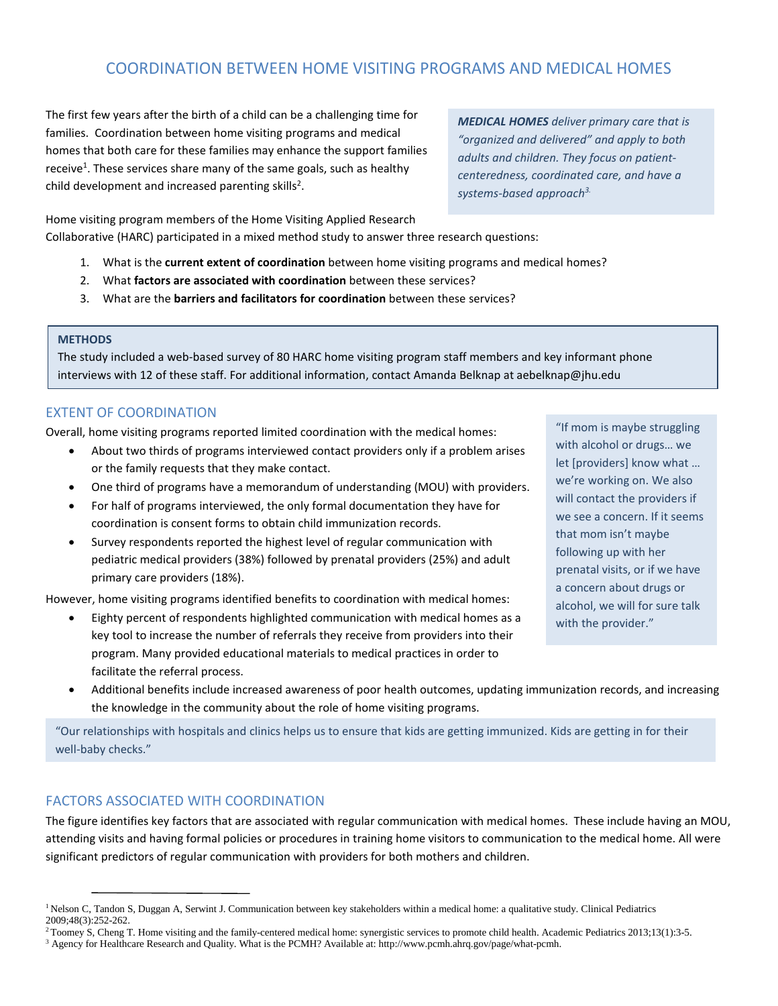# COORDINATION BETWEEN HOME VISITING PROGRAMS AND MEDICAL HOMES

The first few years after the birth of a child can be a challenging time for families. Coordination between home visiting programs and medical homes that both care for these families may enhance the support families receive<sup>1</sup>. These services share many of the same goals, such as healthy child development and increased parenting skills<sup>2</sup>.

*MEDICAL HOMES deliver primary care that is "organized and delivered" and apply to both adults and children. They focus on patientcenteredness, coordinated care, and have a systems-based approach3.*

Home visiting program members of the Home Visiting Applied Research Collaborative (HARC) participated in a mixed method study to answer three research questions:

- 1. What is the **current extent of coordination** between home visiting programs and medical homes?
- 2. What **factors are associated with coordination** between these services?
- 3. What are the **barriers and facilitators for coordination** between these services?

#### **METHODS**

The study included a web-based survey of 80 HARC home visiting program staff members and key informant phone interviews with 12 of these staff. For additional information, contact Amanda Belknap at aebelknap@jhu.edu

## EXTENT OF COORDINATION

Overall, home visiting programs reported limited coordination with the medical homes:

- About two thirds of programs interviewed contact providers only if a problem arises or the family requests that they make contact.
- One third of programs have a memorandum of understanding (MOU) with providers.
- For half of programs interviewed, the only formal documentation they have for coordination is consent forms to obtain child immunization records.
- Survey respondents reported the highest level of regular communication with pediatric medical providers (38%) followed by prenatal providers (25%) and adult primary care providers (18%).

However, home visiting programs identified benefits to coordination with medical homes:

• Eighty percent of respondents highlighted communication with medical homes as a key tool to increase the number of referrals they receive from providers into their program. Many provided educational materials to medical practices in order to facilitate the referral process.

"If mom is maybe struggling with alcohol or drugs… we let [providers] know what … we're working on. We also will contact the providers if we see a concern. If it seems that mom isn't maybe following up with her prenatal visits, or if we have a concern about drugs or alcohol, we will for sure talk with the provider."

• Additional benefits include increased awareness of poor health outcomes, updating immunization records, and increasing the knowledge in the community about the role of home visiting programs.

"Our relationships with hospitals and clinics helps us to ensure that kids are getting immunized. Kids are getting in for their well-baby checks."

### FACTORS ASSOCIATED WITH COORDINATION

The figure identifies key factors that are associated with regular communication with medical homes. These include having an MOU, attending visits and having formal policies or procedures in training home visitors to communication to the medical home. All were significant predictors of regular communication with providers for both mothers and children.

<sup>&</sup>lt;sup>1</sup> Nelson C, Tandon S, Duggan A, Serwint J. Communication between key stakeholders within a medical home: a qualitative study. Clinical Pediatrics 2009;48(3):252-262.

<sup>&</sup>lt;sup>2</sup> Toomey S, Cheng T. Home visiting and the family-centered medical home: synergistic services to promote child health. Academic Pediatrics 2013;13(1):3-5.

<sup>3</sup> Agency for Healthcare Research and Quality. What is the PCMH? Available at: http://www.pcmh.ahrq.gov/page/what-pcmh.